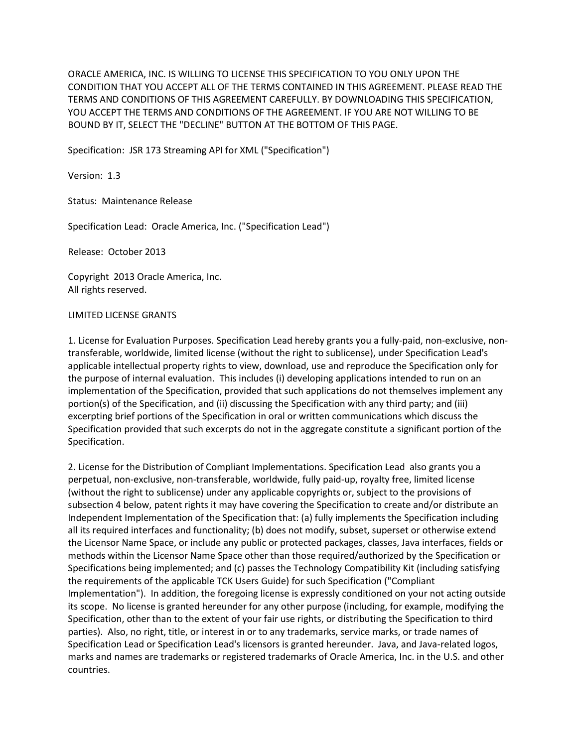ORACLE AMERICA, INC. IS WILLING TO LICENSE THIS SPECIFICATION TO YOU ONLY UPON THE CONDITION THAT YOU ACCEPT ALL OF THE TERMS CONTAINED IN THIS AGREEMENT. PLEASE READ THE TERMS AND CONDITIONS OF THIS AGREEMENT CAREFULLY. BY DOWNLOADING THIS SPECIFICATION, YOU ACCEPT THE TERMS AND CONDITIONS OF THE AGREEMENT. IF YOU ARE NOT WILLING TO BE BOUND BY IT, SELECT THE "DECLINE" BUTTON AT THE BOTTOM OF THIS PAGE.

Specification: JSR 173 Streaming API for XML ("Specification")

Version: 1.3

Status: Maintenance Release

Specification Lead: Oracle America, Inc. ("Specification Lead")

Release: October 2013

Copyright 2013 Oracle America, Inc. All rights reserved.

#### LIMITED LICENSE GRANTS

1. License for Evaluation Purposes. Specification Lead hereby grants you a fully-paid, non-exclusive, nontransferable, worldwide, limited license (without the right to sublicense), under Specification Lead's applicable intellectual property rights to view, download, use and reproduce the Specification only for the purpose of internal evaluation. This includes (i) developing applications intended to run on an implementation of the Specification, provided that such applications do not themselves implement any portion(s) of the Specification, and (ii) discussing the Specification with any third party; and (iii) excerpting brief portions of the Specification in oral or written communications which discuss the Specification provided that such excerpts do not in the aggregate constitute a significant portion of the Specification.

2. License for the Distribution of Compliant Implementations. Specification Lead also grants you a perpetual, non-exclusive, non-transferable, worldwide, fully paid-up, royalty free, limited license (without the right to sublicense) under any applicable copyrights or, subject to the provisions of subsection 4 below, patent rights it may have covering the Specification to create and/or distribute an Independent Implementation of the Specification that: (a) fully implements the Specification including all its required interfaces and functionality; (b) does not modify, subset, superset or otherwise extend the Licensor Name Space, or include any public or protected packages, classes, Java interfaces, fields or methods within the Licensor Name Space other than those required/authorized by the Specification or Specifications being implemented; and (c) passes the Technology Compatibility Kit (including satisfying the requirements of the applicable TCK Users Guide) for such Specification ("Compliant Implementation"). In addition, the foregoing license is expressly conditioned on your not acting outside its scope. No license is granted hereunder for any other purpose (including, for example, modifying the Specification, other than to the extent of your fair use rights, or distributing the Specification to third parties). Also, no right, title, or interest in or to any trademarks, service marks, or trade names of Specification Lead or Specification Lead's licensors is granted hereunder. Java, and Java-related logos, marks and names are trademarks or registered trademarks of Oracle America, Inc. in the U.S. and other countries.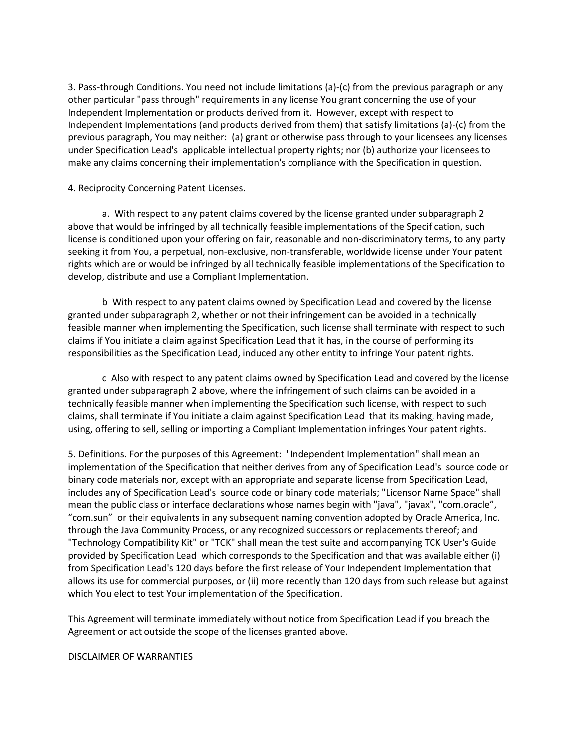3. Pass-through Conditions. You need not include limitations (a)-(c) from the previous paragraph or any other particular "pass through" requirements in any license You grant concerning the use of your Independent Implementation or products derived from it. However, except with respect to Independent Implementations (and products derived from them) that satisfy limitations (a)-(c) from the previous paragraph, You may neither: (a) grant or otherwise pass through to your licensees any licenses under Specification Lead's applicable intellectual property rights; nor (b) authorize your licensees to make any claims concerning their implementation's compliance with the Specification in question.

#### 4. Reciprocity Concerning Patent Licenses.

a. With respect to any patent claims covered by the license granted under subparagraph 2 above that would be infringed by all technically feasible implementations of the Specification, such license is conditioned upon your offering on fair, reasonable and non-discriminatory terms, to any party seeking it from You, a perpetual, non-exclusive, non-transferable, worldwide license under Your patent rights which are or would be infringed by all technically feasible implementations of the Specification to develop, distribute and use a Compliant Implementation.

b With respect to any patent claims owned by Specification Lead and covered by the license granted under subparagraph 2, whether or not their infringement can be avoided in a technically feasible manner when implementing the Specification, such license shall terminate with respect to such claims if You initiate a claim against Specification Lead that it has, in the course of performing its responsibilities as the Specification Lead, induced any other entity to infringe Your patent rights.

c Also with respect to any patent claims owned by Specification Lead and covered by the license granted under subparagraph 2 above, where the infringement of such claims can be avoided in a technically feasible manner when implementing the Specification such license, with respect to such claims, shall terminate if You initiate a claim against Specification Lead that its making, having made, using, offering to sell, selling or importing a Compliant Implementation infringes Your patent rights.

5. Definitions. For the purposes of this Agreement: "Independent Implementation" shall mean an implementation of the Specification that neither derives from any of Specification Lead's source code or binary code materials nor, except with an appropriate and separate license from Specification Lead, includes any of Specification Lead's source code or binary code materials; "Licensor Name Space" shall mean the public class or interface declarations whose names begin with "java", "javax", "com.oracle", "com.sun" or their equivalents in any subsequent naming convention adopted by Oracle America, Inc. through the Java Community Process, or any recognized successors or replacements thereof; and "Technology Compatibility Kit" or "TCK" shall mean the test suite and accompanying TCK User's Guide provided by Specification Lead which corresponds to the Specification and that was available either (i) from Specification Lead's 120 days before the first release of Your Independent Implementation that allows its use for commercial purposes, or (ii) more recently than 120 days from such release but against which You elect to test Your implementation of the Specification.

This Agreement will terminate immediately without notice from Specification Lead if you breach the Agreement or act outside the scope of the licenses granted above.

DISCLAIMER OF WARRANTIES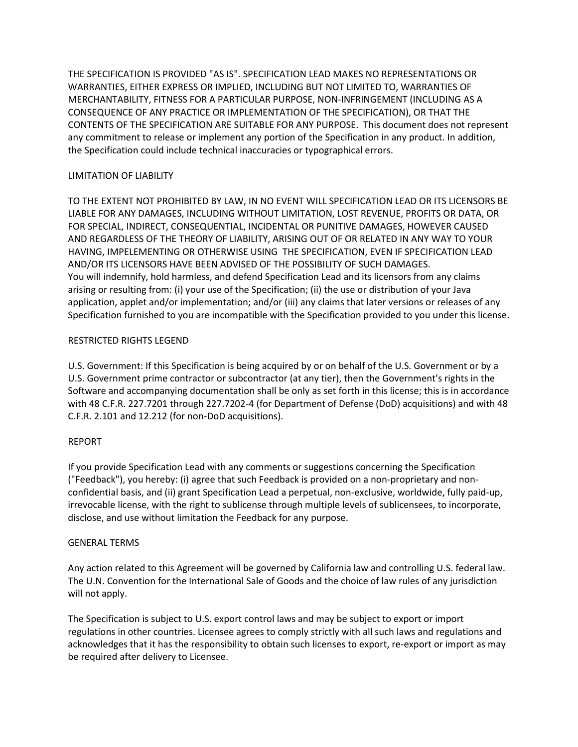THE SPECIFICATION IS PROVIDED "AS IS". SPECIFICATION LEAD MAKES NO REPRESENTATIONS OR WARRANTIES, EITHER EXPRESS OR IMPLIED, INCLUDING BUT NOT LIMITED TO, WARRANTIES OF MERCHANTABILITY, FITNESS FOR A PARTICULAR PURPOSE, NON-INFRINGEMENT (INCLUDING AS A CONSEQUENCE OF ANY PRACTICE OR IMPLEMENTATION OF THE SPECIFICATION), OR THAT THE CONTENTS OF THE SPECIFICATION ARE SUITABLE FOR ANY PURPOSE. This document does not represent any commitment to release or implement any portion of the Specification in any product. In addition, the Specification could include technical inaccuracies or typographical errors.

## LIMITATION OF LIABILITY

TO THE EXTENT NOT PROHIBITED BY LAW, IN NO EVENT WILL SPECIFICATION LEAD OR ITS LICENSORS BE LIABLE FOR ANY DAMAGES, INCLUDING WITHOUT LIMITATION, LOST REVENUE, PROFITS OR DATA, OR FOR SPECIAL, INDIRECT, CONSEQUENTIAL, INCIDENTAL OR PUNITIVE DAMAGES, HOWEVER CAUSED AND REGARDLESS OF THE THEORY OF LIABILITY, ARISING OUT OF OR RELATED IN ANY WAY TO YOUR HAVING, IMPELEMENTING OR OTHERWISE USING THE SPECIFICATION, EVEN IF SPECIFICATION LEAD AND/OR ITS LICENSORS HAVE BEEN ADVISED OF THE POSSIBILITY OF SUCH DAMAGES. You will indemnify, hold harmless, and defend Specification Lead and its licensors from any claims arising or resulting from: (i) your use of the Specification; (ii) the use or distribution of your Java application, applet and/or implementation; and/or (iii) any claims that later versions or releases of any Specification furnished to you are incompatible with the Specification provided to you under this license.

### RESTRICTED RIGHTS LEGEND

U.S. Government: If this Specification is being acquired by or on behalf of the U.S. Government or by a U.S. Government prime contractor or subcontractor (at any tier), then the Government's rights in the Software and accompanying documentation shall be only as set forth in this license; this is in accordance with 48 C.F.R. 227.7201 through 227.7202-4 (for Department of Defense (DoD) acquisitions) and with 48 C.F.R. 2.101 and 12.212 (for non-DoD acquisitions).

# REPORT

If you provide Specification Lead with any comments or suggestions concerning the Specification ("Feedback"), you hereby: (i) agree that such Feedback is provided on a non-proprietary and nonconfidential basis, and (ii) grant Specification Lead a perpetual, non-exclusive, worldwide, fully paid-up, irrevocable license, with the right to sublicense through multiple levels of sublicensees, to incorporate, disclose, and use without limitation the Feedback for any purpose.

### GENERAL TERMS

Any action related to this Agreement will be governed by California law and controlling U.S. federal law. The U.N. Convention for the International Sale of Goods and the choice of law rules of any jurisdiction will not apply.

The Specification is subject to U.S. export control laws and may be subject to export or import regulations in other countries. Licensee agrees to comply strictly with all such laws and regulations and acknowledges that it has the responsibility to obtain such licenses to export, re-export or import as may be required after delivery to Licensee.